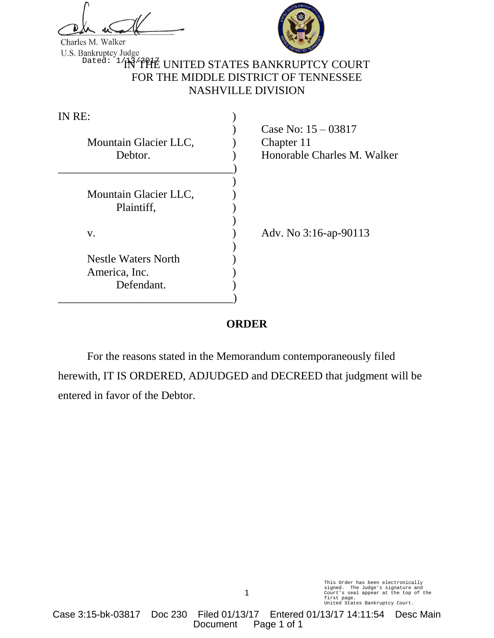Charles M. Walker



<sup>Dated: 1</sup>/j\\{^f}HE UNITED STATES BANKRUPTCY COURT FOR THE MIDDLE DISTRICT OF TENNESSEE NASHVILLE DIVISION

| IN RE:                                                    |                                                                    |
|-----------------------------------------------------------|--------------------------------------------------------------------|
| Mountain Glacier LLC,<br>Debtor.                          | Case No: $15 - 03817$<br>Chapter 11<br>Honorable Charles M. Walker |
| Mountain Glacier LLC,<br>Plaintiff,                       |                                                                    |
| V.                                                        | Adv. No 3:16-ap-90113                                              |
| <b>Nestle Waters North</b><br>America, Inc.<br>Defendant. |                                                                    |
|                                                           |                                                                    |

## **ORDER**

For the reasons stated in the Memorandum contemporaneously filed herewith, IT IS ORDERED, ADJUDGED and DECREED that judgment will be entered in favor of the Debtor.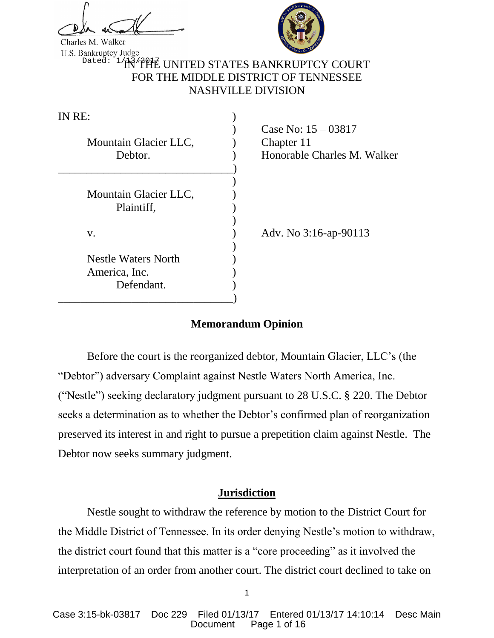Charles M. Walker



<sup>Dated: 1</sup>/j\\{^f}HE UNITED STATES BANKRUPTCY COURT FOR THE MIDDLE DISTRICT OF TENNESSEE NASHVILLE DIVISION

| IN RE:                                                    |                                                                    |
|-----------------------------------------------------------|--------------------------------------------------------------------|
| Mountain Glacier LLC,<br>Debtor.                          | Case No: $15 - 03817$<br>Chapter 11<br>Honorable Charles M. Walker |
| Mountain Glacier LLC,<br>Plaintiff,                       |                                                                    |
| V.                                                        | Adv. No 3:16-ap-90113                                              |
| <b>Nestle Waters North</b><br>America, Inc.<br>Defendant. |                                                                    |

## **Memorandum Opinion**

Before the court is the reorganized debtor, Mountain Glacier, LLC's (the "Debtor") adversary Complaint against Nestle Waters North America, Inc. ("Nestle") seeking declaratory judgment pursuant to 28 U.S.C. § 220. The Debtor seeks a determination as to whether the Debtor's confirmed plan of reorganization preserved its interest in and right to pursue a prepetition claim against Nestle. The Debtor now seeks summary judgment.

### **Jurisdiction**

Nestle sought to withdraw the reference by motion to the District Court for the Middle District of Tennessee. In its order denying Nestle's motion to withdraw, the district court found that this matter is a "core proceeding" as it involved the interpretation of an order from another court. The district court declined to take on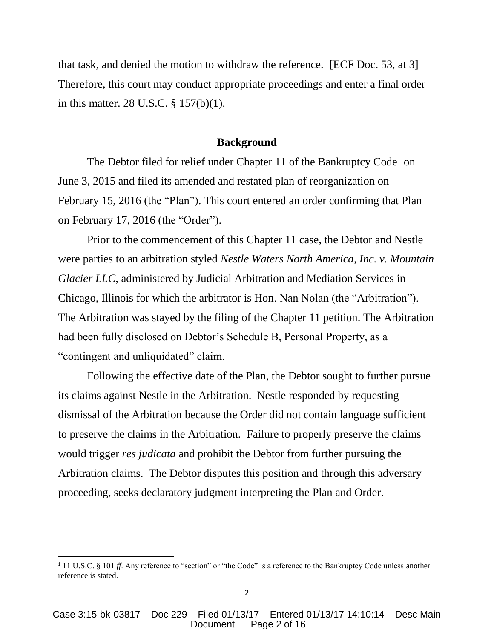that task, and denied the motion to withdraw the reference. [ECF Doc. 53, at 3] Therefore, this court may conduct appropriate proceedings and enter a final order in this matter. 28 U.S.C. § 157(b)(1).

#### **Background**

The Debtor filed for relief under Chapter 11 of the Bankruptcy Code<sup>1</sup> on June 3, 2015 and filed its amended and restated plan of reorganization on February 15, 2016 (the "Plan"). This court entered an order confirming that Plan on February 17, 2016 (the "Order").

Prior to the commencement of this Chapter 11 case, the Debtor and Nestle were parties to an arbitration styled *Nestle Waters North America, Inc. v. Mountain Glacier LLC*, administered by Judicial Arbitration and Mediation Services in Chicago, Illinois for which the arbitrator is Hon. Nan Nolan (the "Arbitration"). The Arbitration was stayed by the filing of the Chapter 11 petition. The Arbitration had been fully disclosed on Debtor's Schedule B, Personal Property, as a "contingent and unliquidated" claim.

Following the effective date of the Plan, the Debtor sought to further pursue its claims against Nestle in the Arbitration. Nestle responded by requesting dismissal of the Arbitration because the Order did not contain language sufficient to preserve the claims in the Arbitration. Failure to properly preserve the claims would trigger *res judicata* and prohibit the Debtor from further pursuing the Arbitration claims. The Debtor disputes this position and through this adversary proceeding, seeks declaratory judgment interpreting the Plan and Order.

l

<sup>&</sup>lt;sup>1</sup> 11 U.S.C. § 101 *ff*. Any reference to "section" or "the Code" is a reference to the Bankruptcy Code unless another reference is stated.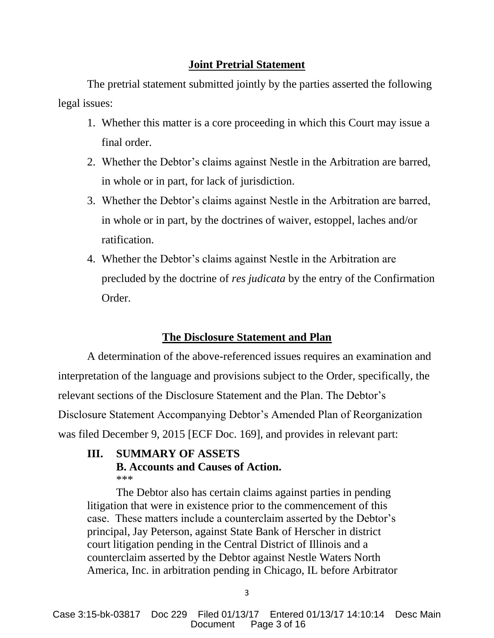## **Joint Pretrial Statement**

The pretrial statement submitted jointly by the parties asserted the following legal issues:

- 1. Whether this matter is a core proceeding in which this Court may issue a final order.
- 2. Whether the Debtor's claims against Nestle in the Arbitration are barred, in whole or in part, for lack of jurisdiction.
- 3. Whether the Debtor's claims against Nestle in the Arbitration are barred, in whole or in part, by the doctrines of waiver, estoppel, laches and/or ratification.
- 4. Whether the Debtor's claims against Nestle in the Arbitration are precluded by the doctrine of *res judicata* by the entry of the Confirmation Order.

# **The Disclosure Statement and Plan**

A determination of the above-referenced issues requires an examination and interpretation of the language and provisions subject to the Order, specifically, the relevant sections of the Disclosure Statement and the Plan. The Debtor's Disclosure Statement Accompanying Debtor's Amended Plan of Reorganization was filed December 9, 2015 [ECF Doc. 169], and provides in relevant part:

### **III. SUMMARY OF ASSETS B. Accounts and Causes of Action.** \*\*\*

The Debtor also has certain claims against parties in pending litigation that were in existence prior to the commencement of this case. These matters include a counterclaim asserted by the Debtor's principal, Jay Peterson, against State Bank of Herscher in district court litigation pending in the Central District of Illinois and a counterclaim asserted by the Debtor against Nestle Waters North America, Inc. in arbitration pending in Chicago, IL before Arbitrator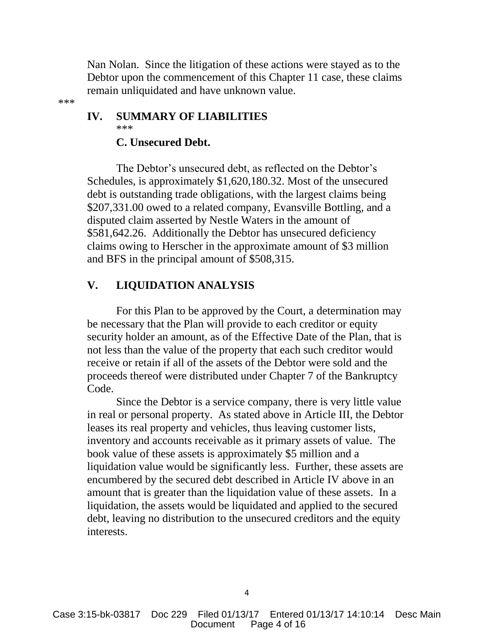Nan Nolan. Since the litigation of these actions were stayed as to the Debtor upon the commencement of this Chapter 11 case, these claims remain unliquidated and have unknown value.

# **IV. SUMMARY OF LIABILITIES** \*\*\*

## **C. Unsecured Debt.**

\*\*\*

The Debtor's unsecured debt, as reflected on the Debtor's Schedules, is approximately \$1,620,180.32. Most of the unsecured debt is outstanding trade obligations, with the largest claims being \$207,331.00 owed to a related company, Evansville Bottling, and a disputed claim asserted by Nestle Waters in the amount of \$581,642.26. Additionally the Debtor has unsecured deficiency claims owing to Herscher in the approximate amount of \$3 million and BFS in the principal amount of \$508,315.

## **V. LIQUIDATION ANALYSIS**

For this Plan to be approved by the Court, a determination may be necessary that the Plan will provide to each creditor or equity security holder an amount, as of the Effective Date of the Plan, that is not less than the value of the property that each such creditor would receive or retain if all of the assets of the Debtor were sold and the proceeds thereof were distributed under Chapter 7 of the Bankruptcy Code.

Since the Debtor is a service company, there is very little value in real or personal property. As stated above in Article III, the Debtor leases its real property and vehicles, thus leaving customer lists, inventory and accounts receivable as it primary assets of value. The book value of these assets is approximately \$5 million and a liquidation value would be significantly less. Further, these assets are encumbered by the secured debt described in Article IV above in an amount that is greater than the liquidation value of these assets. In a liquidation, the assets would be liquidated and applied to the secured debt, leaving no distribution to the unsecured creditors and the equity interests.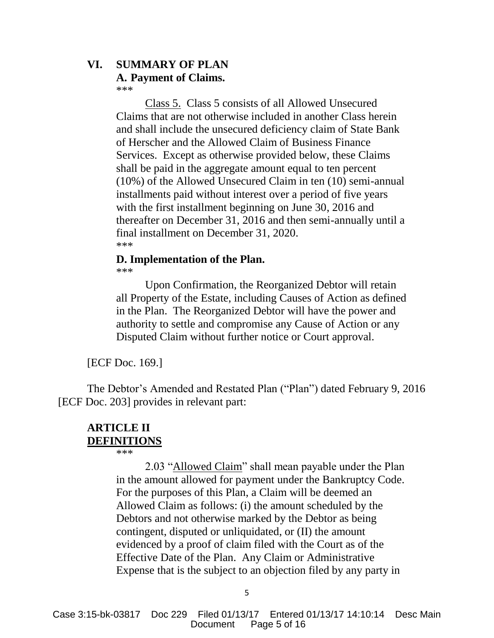# **VI. SUMMARY OF PLAN**

#### **A. Payment of Claims.** \*\*\*

Class 5. Class 5 consists of all Allowed Unsecured Claims that are not otherwise included in another Class herein and shall include the unsecured deficiency claim of State Bank of Herscher and the Allowed Claim of Business Finance Services. Except as otherwise provided below, these Claims shall be paid in the aggregate amount equal to ten percent (10%) of the Allowed Unsecured Claim in ten (10) semi-annual installments paid without interest over a period of five years with the first installment beginning on June 30, 2016 and thereafter on December 31, 2016 and then semi-annually until a final installment on December 31, 2020. \*\*\*

# **D. Implementation of the Plan.**

\*\*\*

Upon Confirmation, the Reorganized Debtor will retain all Property of the Estate, including Causes of Action as defined in the Plan. The Reorganized Debtor will have the power and authority to settle and compromise any Cause of Action or any Disputed Claim without further notice or Court approval.

[ECF Doc. 169.]

The Debtor's Amended and Restated Plan ("Plan") dated February 9, 2016 [ECF Doc. 203] provides in relevant part:

# **ARTICLE II DEFINITIONS**

\*\*\*

2.03 "Allowed Claim" shall mean payable under the Plan in the amount allowed for payment under the Bankruptcy Code. For the purposes of this Plan, a Claim will be deemed an Allowed Claim as follows: (i) the amount scheduled by the Debtors and not otherwise marked by the Debtor as being contingent, disputed or unliquidated, or (II) the amount evidenced by a proof of claim filed with the Court as of the Effective Date of the Plan. Any Claim or Administrative Expense that is the subject to an objection filed by any party in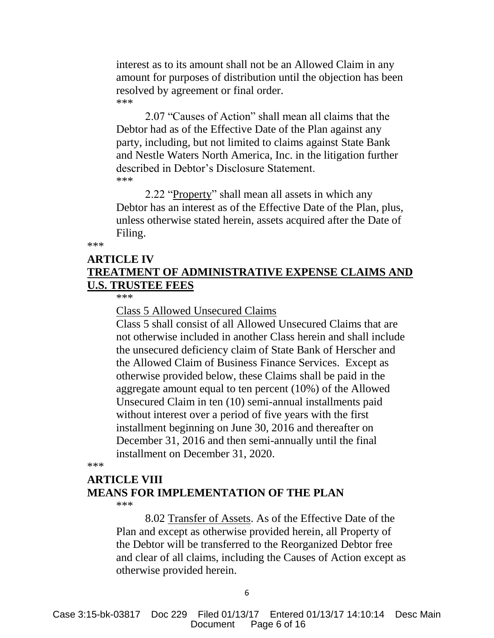interest as to its amount shall not be an Allowed Claim in any amount for purposes of distribution until the objection has been resolved by agreement or final order. \*\*\*

2.07 "Causes of Action" shall mean all claims that the Debtor had as of the Effective Date of the Plan against any party, including, but not limited to claims against State Bank and Nestle Waters North America, Inc. in the litigation further described in Debtor's Disclosure Statement. \*\*\*

2.22 "Property" shall mean all assets in which any Debtor has an interest as of the Effective Date of the Plan, plus, unless otherwise stated herein, assets acquired after the Date of Filing.

\*\*\*

# **ARTICLE IV TREATMENT OF ADMINISTRATIVE EXPENSE CLAIMS AND U.S. TRUSTEE FEES**

\*\*\*

Class 5 Allowed Unsecured Claims

Class 5 shall consist of all Allowed Unsecured Claims that are not otherwise included in another Class herein and shall include the unsecured deficiency claim of State Bank of Herscher and the Allowed Claim of Business Finance Services. Except as otherwise provided below, these Claims shall be paid in the aggregate amount equal to ten percent (10%) of the Allowed Unsecured Claim in ten (10) semi-annual installments paid without interest over a period of five years with the first installment beginning on June 30, 2016 and thereafter on December 31, 2016 and then semi-annually until the final installment on December 31, 2020.

\*\*\*

#### **ARTICLE VIII**

### **MEANS FOR IMPLEMENTATION OF THE PLAN**

\*\*\*

8.02 Transfer of Assets. As of the Effective Date of the Plan and except as otherwise provided herein, all Property of the Debtor will be transferred to the Reorganized Debtor free and clear of all claims, including the Causes of Action except as otherwise provided herein.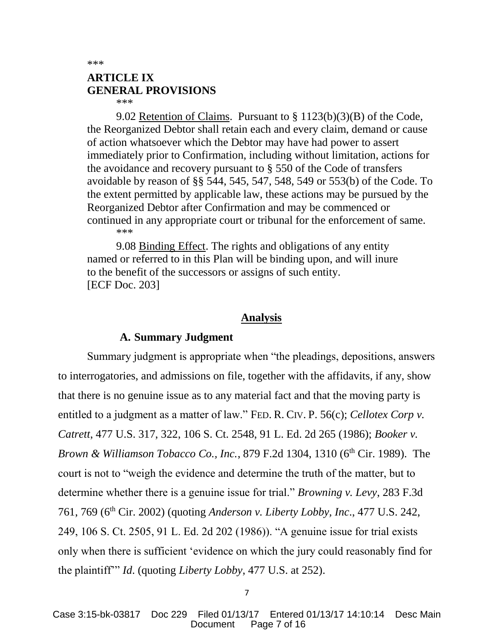\*\*\*

# **ARTICLE IX GENERAL PROVISIONS**

\*\*\*

9.02 Retention of Claims. Pursuant to § 1123(b)(3)(B) of the Code, the Reorganized Debtor shall retain each and every claim, demand or cause of action whatsoever which the Debtor may have had power to assert immediately prior to Confirmation, including without limitation, actions for the avoidance and recovery pursuant to § 550 of the Code of transfers avoidable by reason of §§ 544, 545, 547, 548, 549 or 553(b) of the Code. To the extent permitted by applicable law, these actions may be pursued by the Reorganized Debtor after Confirmation and may be commenced or continued in any appropriate court or tribunal for the enforcement of same. \*\*\*

9.08 Binding Effect. The rights and obligations of any entity named or referred to in this Plan will be binding upon, and will inure to the benefit of the successors or assigns of such entity. [ECF Doc. 203]

### **Analysis**

### **A. Summary Judgment**

Summary judgment is appropriate when "the pleadings, depositions, answers to interrogatories, and admissions on file, together with the affidavits, if any, show that there is no genuine issue as to any material fact and that the moving party is entitled to a judgment as a matter of law." FED. R. CIV. P. 56(c); *Cellotex Corp v. Catrett*, 477 U.S. 317, 322, 106 S. Ct. 2548, 91 L. Ed. 2d 265 (1986); *Booker v. Brown & Williamson Tobacco Co., Inc.*, 879 F.2d 1304, 1310 (6<sup>th</sup> Cir. 1989). The court is not to "weigh the evidence and determine the truth of the matter, but to determine whether there is a genuine issue for trial." *Browning v. Levy*, 283 F.3d 761, 769 (6th Cir. 2002) (quoting *Anderson v. Liberty Lobby, Inc*., 477 U.S. 242, 249, 106 S. Ct. 2505, 91 L. Ed. 2d 202 (1986)). "A genuine issue for trial exists only when there is sufficient 'evidence on which the jury could reasonably find for the plaintiff'" *Id*. (quoting *Liberty Lobby*, 477 U.S. at 252).

7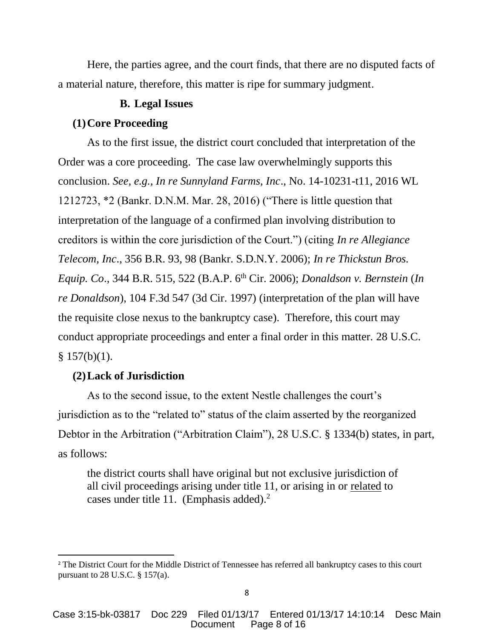Here, the parties agree, and the court finds, that there are no disputed facts of a material nature, therefore, this matter is ripe for summary judgment.

### **B. Legal Issues**

#### **(1)Core Proceeding**

As to the first issue, the district court concluded that interpretation of the Order was a core proceeding. The case law overwhelmingly supports this conclusion. *See, e.g., In re Sunnyland Farms, Inc*., No. 14-10231-t11, 2016 WL 1212723, \*2 (Bankr. D.N.M. Mar. 28, 2016) ("There is little question that interpretation of the language of a confirmed plan involving distribution to creditors is within the core jurisdiction of the Court.") (citing *In re Allegiance Telecom, Inc*., 356 B.R. 93, 98 (Bankr. S.D.N.Y. 2006); *In re Thickstun Bros. Equip. Co*., 344 B.R. 515, 522 (B.A.P. 6th Cir. 2006); *Donaldson v. Bernstein* (*In re Donaldson*), 104 F.3d 547 (3d Cir. 1997) (interpretation of the plan will have the requisite close nexus to the bankruptcy case). Therefore, this court may conduct appropriate proceedings and enter a final order in this matter. 28 U.S.C.  $§ 157(b)(1).$ 

### **(2)Lack of Jurisdiction**

 $\overline{a}$ 

As to the second issue, to the extent Nestle challenges the court's jurisdiction as to the "related to" status of the claim asserted by the reorganized Debtor in the Arbitration ("Arbitration Claim"), 28 U.S.C. § 1334(b) states, in part, as follows:

the district courts shall have original but not exclusive jurisdiction of all civil proceedings arising under title 11, or arising in or related to cases under title 11. (Emphasis added).<sup>2</sup>

<sup>&</sup>lt;sup>2</sup> The District Court for the Middle District of Tennessee has referred all bankruptcy cases to this court pursuant to 28 U.S.C. § 157(a).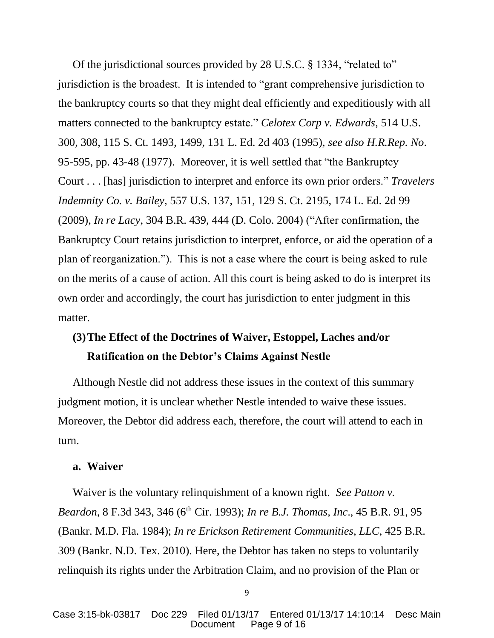Of the jurisdictional sources provided by 28 U.S.C. § 1334, "related to" jurisdiction is the broadest. It is intended to "grant comprehensive jurisdiction to the bankruptcy courts so that they might deal efficiently and expeditiously with all matters connected to the bankruptcy estate." *Celotex Corp v. Edwards*, 514 U.S. 300, 308, 115 S. Ct. 1493, 1499, 131 L. Ed. 2d 403 (1995), *see also H.R.Rep. No*. 95-595, pp. 43-48 (1977). Moreover, it is well settled that "the Bankruptcy Court . . . [has] jurisdiction to interpret and enforce its own prior orders." *Travelers Indemnity Co. v. Bailey*, 557 U.S. 137, 151, 129 S. Ct. 2195, 174 L. Ed. 2d 99 (2009), *In re Lacy*, 304 B.R. 439, 444 (D. Colo. 2004) ("After confirmation, the Bankruptcy Court retains jurisdiction to interpret, enforce, or aid the operation of a plan of reorganization."). This is not a case where the court is being asked to rule on the merits of a cause of action. All this court is being asked to do is interpret its own order and accordingly, the court has jurisdiction to enter judgment in this matter.

# **(3)The Effect of the Doctrines of Waiver, Estoppel, Laches and/or Ratification on the Debtor's Claims Against Nestle**

Although Nestle did not address these issues in the context of this summary judgment motion, it is unclear whether Nestle intended to waive these issues. Moreover, the Debtor did address each, therefore, the court will attend to each in turn.

#### **a. Waiver**

Waiver is the voluntary relinquishment of a known right. *See Patton v. Beardon*, 8 F.3d 343, 346 (6<sup>th</sup> Cir. 1993); *In re B.J. Thomas, Inc.*, 45 B.R. 91, 95 (Bankr. M.D. Fla. 1984); *In re Erickson Retirement Communities, LLC*, 425 B.R. 309 (Bankr. N.D. Tex. 2010). Here, the Debtor has taken no steps to voluntarily relinquish its rights under the Arbitration Claim, and no provision of the Plan or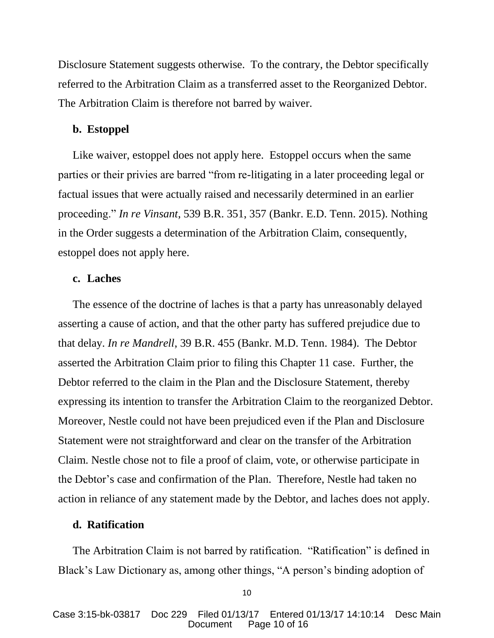Disclosure Statement suggests otherwise. To the contrary, the Debtor specifically referred to the Arbitration Claim as a transferred asset to the Reorganized Debtor. The Arbitration Claim is therefore not barred by waiver.

#### **b. Estoppel**

Like waiver, estoppel does not apply here. Estoppel occurs when the same parties or their privies are barred "from re-litigating in a later proceeding legal or factual issues that were actually raised and necessarily determined in an earlier proceeding." *In re Vinsant*, 539 B.R. 351, 357 (Bankr. E.D. Tenn. 2015). Nothing in the Order suggests a determination of the Arbitration Claim, consequently, estoppel does not apply here.

### **c. Laches**

The essence of the doctrine of laches is that a party has unreasonably delayed asserting a cause of action, and that the other party has suffered prejudice due to that delay. *In re Mandrell*, 39 B.R. 455 (Bankr. M.D. Tenn. 1984). The Debtor asserted the Arbitration Claim prior to filing this Chapter 11 case. Further, the Debtor referred to the claim in the Plan and the Disclosure Statement, thereby expressing its intention to transfer the Arbitration Claim to the reorganized Debtor. Moreover, Nestle could not have been prejudiced even if the Plan and Disclosure Statement were not straightforward and clear on the transfer of the Arbitration Claim. Nestle chose not to file a proof of claim, vote, or otherwise participate in the Debtor's case and confirmation of the Plan. Therefore, Nestle had taken no action in reliance of any statement made by the Debtor, and laches does not apply.

### **d. Ratification**

The Arbitration Claim is not barred by ratification. "Ratification" is defined in Black's Law Dictionary as, among other things, "A person's binding adoption of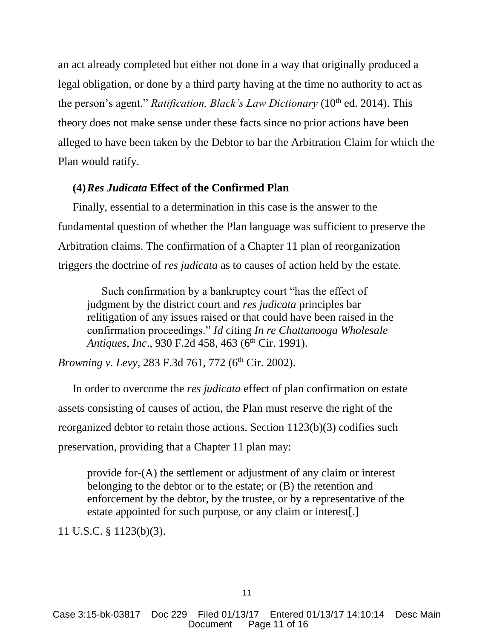an act already completed but either not done in a way that originally produced a legal obligation, or done by a third party having at the time no authority to act as the person's agent." *Ratification, Black's Law Dictionary* (10<sup>th</sup> ed. 2014). This theory does not make sense under these facts since no prior actions have been alleged to have been taken by the Debtor to bar the Arbitration Claim for which the Plan would ratify.

### **(4)***Res Judicata* **Effect of the Confirmed Plan**

Finally, essential to a determination in this case is the answer to the fundamental question of whether the Plan language was sufficient to preserve the Arbitration claims. The confirmation of a Chapter 11 plan of reorganization triggers the doctrine of *res judicata* as to causes of action held by the estate.

Such confirmation by a bankruptcy court "has the effect of judgment by the district court and *res judicata* principles bar relitigation of any issues raised or that could have been raised in the confirmation proceedings." *Id* citing *In re Chattanooga Wholesale Antiques, Inc.*, 930 F.2d 458, 463 (6<sup>th</sup> Cir. 1991).

*Browning v. Levy*, 283 F.3d 761, 772 (6<sup>th</sup> Cir. 2002).

In order to overcome the *res judicata* effect of plan confirmation on estate assets consisting of causes of action, the Plan must reserve the right of the reorganized debtor to retain those actions. Section 1123(b)(3) codifies such preservation, providing that a Chapter 11 plan may:

provide for-(A) the settlement or adjustment of any claim or interest belonging to the debtor or to the estate; or (B) the retention and enforcement by the debtor, by the trustee, or by a representative of the estate appointed for such purpose, or any claim or interest[.]

11 U.S.C. § 1123(b)(3).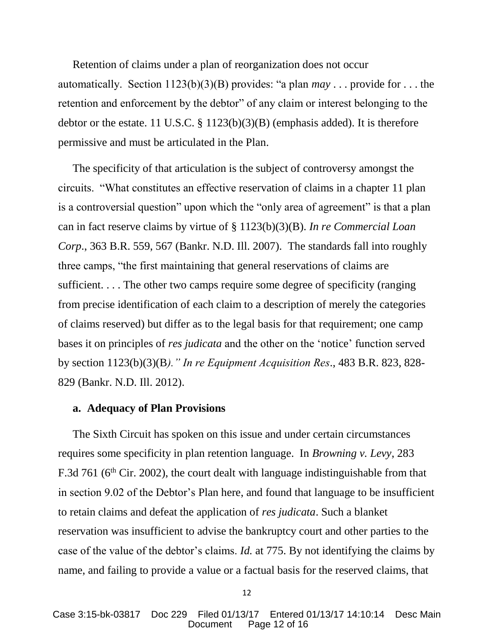Retention of claims under a plan of reorganization does not occur automatically. Section 1123(b)(3)(B) provides: "a plan *may* . . . provide for . . . the retention and enforcement by the debtor" of any claim or interest belonging to the debtor or the estate. 11 U.S.C. § 1123(b)(3)(B) (emphasis added). It is therefore permissive and must be articulated in the Plan.

The specificity of that articulation is the subject of controversy amongst the circuits. "What constitutes an effective reservation of claims in a chapter 11 plan is a controversial question" upon which the "only area of agreement" is that a plan can in fact reserve claims by virtue of § 1123(b)(3)(B). *In re Commercial Loan Corp*., 363 B.R. 559, 567 (Bankr. N.D. Ill. 2007). The standards fall into roughly three camps, "the first maintaining that general reservations of claims are sufficient. . . . The other two camps require some degree of specificity (ranging from precise identification of each claim to a description of merely the categories of claims reserved) but differ as to the legal basis for that requirement; one camp bases it on principles of *res judicata* and the other on the 'notice' function served by section 1123(b)(3)(B*)." In re Equipment Acquisition Res*., 483 B.R. 823, 828- 829 (Bankr. N.D. Ill. 2012).

#### **a. Adequacy of Plan Provisions**

The Sixth Circuit has spoken on this issue and under certain circumstances requires some specificity in plan retention language. In *Browning v. Levy*, 283 F.3d 761 (6<sup>th</sup> Cir. 2002), the court dealt with language indistinguishable from that in section 9.02 of the Debtor's Plan here, and found that language to be insufficient to retain claims and defeat the application of *res judicata*. Such a blanket reservation was insufficient to advise the bankruptcy court and other parties to the case of the value of the debtor's claims. *Id.* at 775. By not identifying the claims by name, and failing to provide a value or a factual basis for the reserved claims, that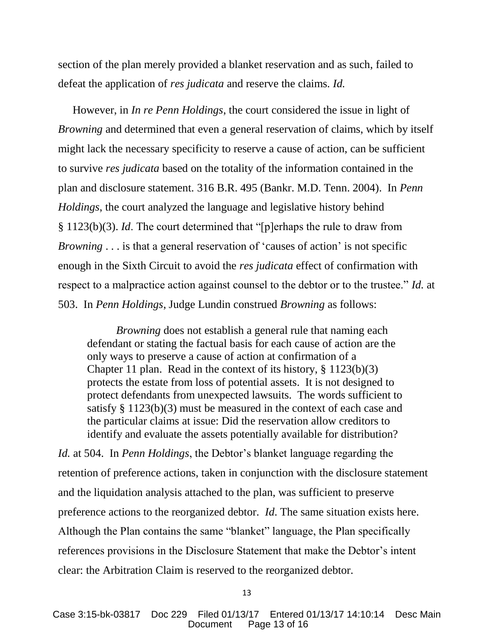section of the plan merely provided a blanket reservation and as such, failed to defeat the application of *res judicata* and reserve the claims*. Id.*

However, in *In re Penn Holdings*, the court considered the issue in light of *Browning* and determined that even a general reservation of claims, which by itself might lack the necessary specificity to reserve a cause of action, can be sufficient to survive *res judicata* based on the totality of the information contained in the plan and disclosure statement. 316 B.R. 495 (Bankr. M.D. Tenn. 2004). In *Penn Holdings*, the court analyzed the language and legislative history behind § 1123(b)(3). *Id*. The court determined that "[p]erhaps the rule to draw from *Browning* . . . is that a general reservation of 'causes of action' is not specific enough in the Sixth Circuit to avoid the *res judicata* effect of confirmation with respect to a malpractice action against counsel to the debtor or to the trustee." *Id.* at 503. In *Penn Holdings*, Judge Lundin construed *Browning* as follows:

*Browning* does not establish a general rule that naming each defendant or stating the factual basis for each cause of action are the only ways to preserve a cause of action at confirmation of a Chapter 11 plan. Read in the context of its history, § 1123(b)(3) protects the estate from loss of potential assets. It is not designed to protect defendants from unexpected lawsuits. The words sufficient to satisfy § 1123(b)(3) must be measured in the context of each case and the particular claims at issue: Did the reservation allow creditors to identify and evaluate the assets potentially available for distribution?

*Id.* at 504. In *Penn Holdings*, the Debtor's blanket language regarding the retention of preference actions, taken in conjunction with the disclosure statement and the liquidation analysis attached to the plan, was sufficient to preserve preference actions to the reorganized debtor. *Id*. The same situation exists here. Although the Plan contains the same "blanket" language, the Plan specifically references provisions in the Disclosure Statement that make the Debtor's intent clear: the Arbitration Claim is reserved to the reorganized debtor.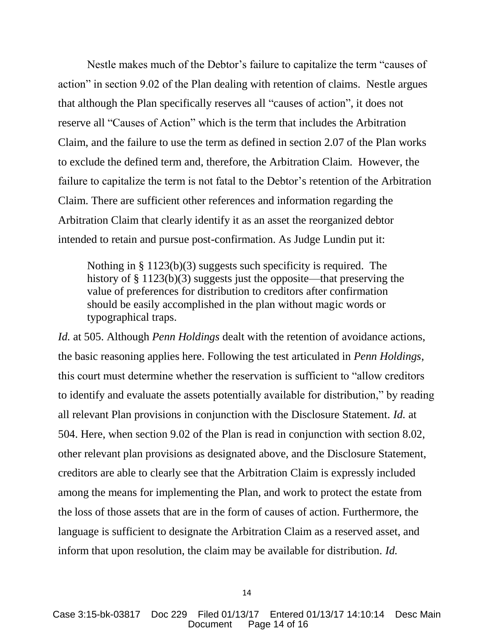Nestle makes much of the Debtor's failure to capitalize the term "causes of action" in section 9.02 of the Plan dealing with retention of claims. Nestle argues that although the Plan specifically reserves all "causes of action", it does not reserve all "Causes of Action" which is the term that includes the Arbitration Claim, and the failure to use the term as defined in section 2.07 of the Plan works to exclude the defined term and, therefore, the Arbitration Claim. However, the failure to capitalize the term is not fatal to the Debtor's retention of the Arbitration Claim. There are sufficient other references and information regarding the Arbitration Claim that clearly identify it as an asset the reorganized debtor intended to retain and pursue post-confirmation. As Judge Lundin put it:

Nothing in § 1123(b)(3) suggests such specificity is required. The history of § 1123(b)(3) suggests just the opposite—that preserving the value of preferences for distribution to creditors after confirmation should be easily accomplished in the plan without magic words or typographical traps.

*Id.* at 505. Although *Penn Holdings* dealt with the retention of avoidance actions, the basic reasoning applies here. Following the test articulated in *Penn Holdings*, this court must determine whether the reservation is sufficient to "allow creditors to identify and evaluate the assets potentially available for distribution," by reading all relevant Plan provisions in conjunction with the Disclosure Statement. *Id.* at 504. Here, when section 9.02 of the Plan is read in conjunction with section 8.02, other relevant plan provisions as designated above, and the Disclosure Statement, creditors are able to clearly see that the Arbitration Claim is expressly included among the means for implementing the Plan, and work to protect the estate from the loss of those assets that are in the form of causes of action. Furthermore, the language is sufficient to designate the Arbitration Claim as a reserved asset, and inform that upon resolution, the claim may be available for distribution. *Id.*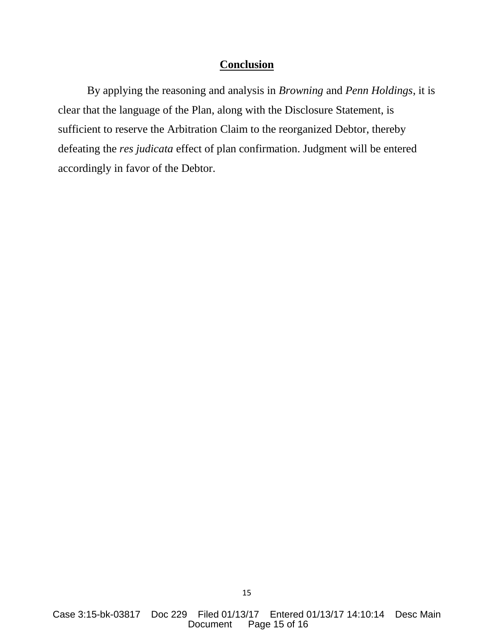### **Conclusion**

By applying the reasoning and analysis in *Browning* and *Penn Holdings*, it is clear that the language of the Plan, along with the Disclosure Statement, is sufficient to reserve the Arbitration Claim to the reorganized Debtor, thereby defeating the *res judicata* effect of plan confirmation. Judgment will be entered accordingly in favor of the Debtor.